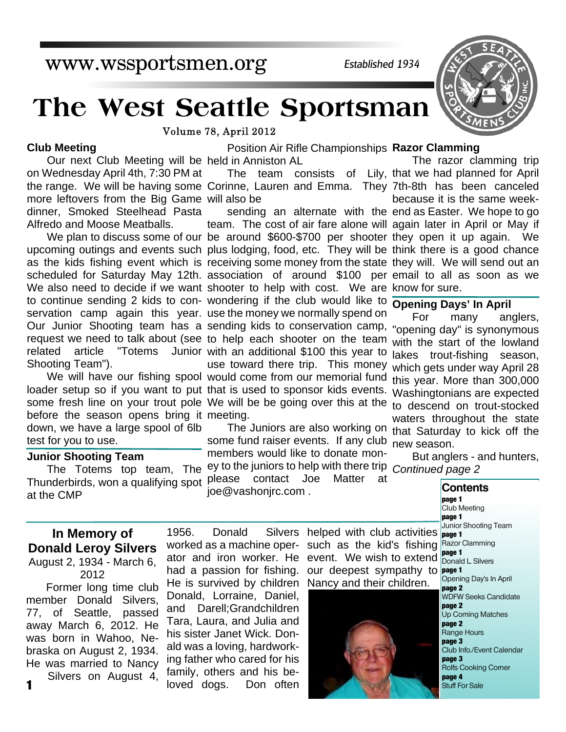# www.wssportsmen.org

*Established 1934*

# **The West Seattle Sportsman**

Volume 78, April 2012

### **Club Meeting**

Our next Club Meeting will be held in Anniston AL more leftovers from the Big Game will also be on Wednesday April 4th, 7:30 PM at dinner, Smoked Steelhead Pasta Alfredo and Moose Meatballs.

related article "Totems Shooting Team").

before the season opens bring it meeting. down, we have a large spool of 6lb test for you to use.

### **Junior Shooting Team**

Thunderbirds, won a qualifying spot please contact Joe Matter at **Contents**<br>at the CMP **Contents** joe@vashonjrc.com .

### Position Air Rifle Championships **Razor Clamming**

The team consists of Lily, that we had planned for April the range. We will be having some Corinne, Lauren and Emma. They 7th-8th has been canceled

team. The cost of air fare alone will again later in April or May if We plan to discuss some of our be around \$600-\$700 per shooter they open it up again. We upcoming outings and events such plus lodging, food, etc. They will be think there is a good chance as the kids fishing event which is receiving some money from the state they will. We will send out an scheduled for Saturday May 12th. association of around \$100 per email to all as soon as we We also need to decide if we want shooter to help with cost. We are know for sure. to continue sending 2 kids to con- wondering if the club would like to **Opening Days' In April** servation camp again this year. use the money we normally spend on sending kids to conservation camp, request we need to talk about (see to help each shooter on the team Junior with an additional \$100 this year to use toward there trip. This money We will have our fishing spool would come from our memorial fund loader setup so if you want to put that is used to sponsor kids events. Washingtonians are expected some fresh line on your trout pole We will be be going over this at the to descend on trout-stocked Our Junior Shooting team has a sending kids to conservation camp, "opening day" is synonymous

The Juniors are also working on that Saturday to kick off the some fund raiser events. If any club new season. members would like to donate mon-The Totems top team, The <sup>ey to the juniors to help with there trip</sup> joe@vashonjrc.com .

sending an alternate with the end as Easter. We hope to go The razor clamming trip because it is the same week-

For many anglers, with the start of the lowland lakes trout-fishing season, which gets under way April 28 this year. More than 300,000 waters throughout the state

But anglers - and hunters, *Continued page 2*

1956. Donald Silvers helped with club activities **page 1** worked as a machine oper- such as the kid's fishing Razor Clamming **page 1** Club Meeting **page 1** Junior Shooting Team Donald L. Silvers Opening Day's In April **page 2** WDFW Seeks Candidate **page 2** Up Coming Matches **page 2** Range Hours **page 3** Club Info./Event Calendar **page 3** Rolfs Cooking Corner **page 4** Stuff For Sale

### **In Memory of Donald Leroy Silvers** August 2, 1934 - March 6, 2012

Former long time club member Donald Silvers, 77, of Seattle, passed away March 6, 2012. He was born in Wahoo, Nebraska on August 2, 1934. He was married to Nancy Silvers on August 4,

**1**



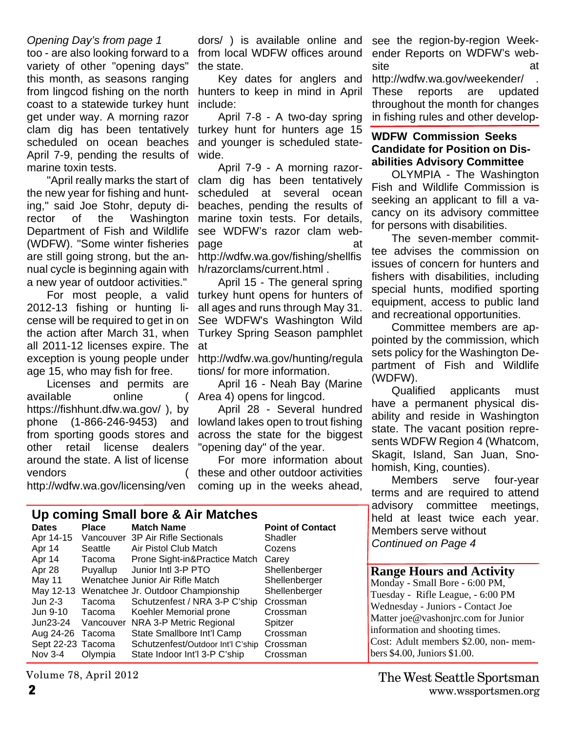### *Opening Day's from page 1*

too - are also looking forward to a variety of other "opening days" this month, as seasons ranging from lingcod fishing on the north hunters to keep in mind in April coast to a statewide turkey hunt get under way. A morning razor clam dig has been tentatively scheduled on ocean beaches April 7-9, pending the results of marine toxin tests.

"April really marks the start of the new year for fishing and hunting," said Joe Stohr, deputy director of the Washington Department of Fish and Wildlife (WDFW). "Some winter fisheries are still going strong, but the annual cycle is beginning again with a new year of outdoor activities."

For most people, a valid 2012-13 fishing or hunting license will be required to get in on the action after March 31, when all 2011-12 licenses expire. The exception is young people under age 15, who may fish for free.

Licenses and permits are available online ( https://fishhunt.dfw.wa.gov/ ), by phone (1-866-246-9453) and from sporting goods stores and other retail license dealers around the state. A list of license **vendors** 

http://wdfw.wa.gov/licensing/ven

dors/ ) is available online and from local WDFW offices around the state.

Key dates for anglers and include:

April 7-8 - A two-day spring turkey hunt for hunters age 15 and younger is scheduled statewide.

April 7-9 - A morning razorclam dig has been tentatively scheduled at several ocean beaches, pending the results of marine toxin tests. For details, see WDFW's razor clam webpage at a control at a control at a control at a control at a control at a control at  $\alpha$ http://wdfw.wa.gov/fishing/shellfis h/razorclams/current.html .

April 15 - The general spring turkey hunt opens for hunters of all ages and runs through May 31. See WDFW's Washington Wild Turkey Spring Season pamphlet at

http://wdfw.wa.gov/hunting/regula tions/ for more information.

April 16 - Neah Bay (Marine Area 4) opens for lingcod.

April 28 - Several hundred lowland lakes open to trout fishing across the state for the biggest "opening day" of the year.

For more information about these and other outdoor activities coming up in the weeks ahead,

| Up coming Small bore & Air Matches |           |                                              |                         |  |  |  |
|------------------------------------|-----------|----------------------------------------------|-------------------------|--|--|--|
| <b>Dates</b>                       | Place     | <b>Match Name</b>                            | <b>Point of Contact</b> |  |  |  |
| Apr 14-15                          |           | Vancouver 3P Air Rifle Sectionals            | Shadler                 |  |  |  |
| Apr 14                             | Seattle   | Air Pistol Club Match                        | Cozens                  |  |  |  |
| Apr 14                             | Tacoma    | Prone Sight-in&Practice Match                | Carey                   |  |  |  |
| Apr 28                             | Puyallup  | Junior Intl 3-P PTO                          | Shellenberger           |  |  |  |
| May 11                             |           | Wenatchee Junior Air Rifle Match             | Shellenberger           |  |  |  |
|                                    |           | May 12-13 Wenatchee Jr. Outdoor Championship | Shellenberger           |  |  |  |
| Jun $2-3$                          | Tacoma    | Schutzenfest / NRA 3-P C'ship                | Crossman                |  |  |  |
| Jun 9-10                           | Tacoma    | Koehler Memorial prone                       | Crossman                |  |  |  |
| Jun23-24                           | Vancouver | NRA 3-P Metric Regional                      | Spitzer                 |  |  |  |
| Aug 24-26 Tacoma                   |           | State Smallbore Int'l Camp                   | Crossman                |  |  |  |
| Sept 22-23 Tacoma                  |           | Schutzenfest/Outdoor Int'l C'ship            | Crossman                |  |  |  |
| Nov 3-4                            | Olympia   | State Indoor Int'l 3-P C'ship                | Crossman                |  |  |  |

Volume 78, April 2012

**Range Hours and Activity** Monday - Small Bore - 6:00 PM, Tuesday - Rifle League, - 6:00 PM Wednesday - Juniors - Contact Joe Matter joe@vashonjrc.com for Junior information and shooting times. Cost: Adult members \$2.00, non- members \$4.00, Juniors \$1.00.

see the region-by-region Weekender Reports on WDFW's website at a structure at a structure at a structure at a structure at a structure at a structure at a structure

http://wdfw.wa.gov/weekender/ . These reports are updated throughout the month for changes in fishing rules and other develop-

### **WDFW Commission Seeks Candidate for Position on Disabilities Advisory Committee**

OLYMPIA - The Washington Fish and Wildlife Commission is seeking an applicant to fill a vacancy on its advisory committee for persons with disabilities.

The seven-member committee advises the commission on issues of concern for hunters and fishers with disabilities, including special hunts, modified sporting equipment, access to public land and recreational opportunities.

Committee members are appointed by the commission, which sets policy for the Washington Department of Fish and Wildlife (WDFW).

Qualified applicants must have a permanent physical disability and reside in Washington state. The vacant position represents WDFW Region 4 (Whatcom, Skagit, Island, San Juan, Snohomish, King, counties).

Members serve four-year terms and are required to attend advisory committee meetings, held at least twice each year. Members serve without *Continued on Page 4*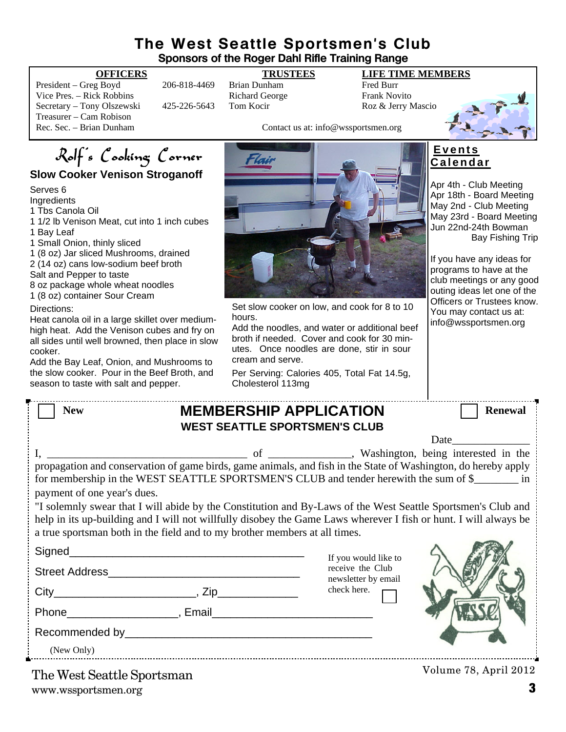### **The West Seattle Sportsmen's Club Sponsors of the Roger Dahl Rifle Training Range**

President – Greg Boyd 206-818-4469 Brian Dunham Fred Burr<br>Vice Pres. – Rick Robbins Richard George Frank Nov Vice Pres. – Rick Robbins **Richard George** Frank Novito Secretary – Tony Olszewski 425-226-5643 Tom Kocir Roz & Jerry Mascio Treasurer – Cam Robison<br>Rec. Sec. – Brian Dunham

### **OFFICERS TRUSTEES LIFE TIME MEMBERS**

Contact us at: info@wssportsmen.org

## Rolf's Cooking Corner **Slow Cooker Venison Stroganoff**

Serves 6

Ingredients

1 Tbs Canola Oil

- 1 1/2 lb Venison Meat, cut into 1 inch cubes 1 Bay Leaf
- 1 Small Onion, thinly sliced

1 (8 oz) Jar sliced Mushrooms, drained

2 (14 oz) cans low-sodium beef broth

- Salt and Pepper to taste
- 8 oz package whole wheat noodles
- 1 (8 oz) container Sour Cream

Directions:

Heat canola oil in a large skillet over mediumhigh heat. Add the Venison cubes and fry on all sides until well browned, then place in slow cooker.

Add the Bay Leaf, Onion, and Mushrooms to the slow cooker. Pour in the Beef Broth, and season to taste with salt and pepper.



Set slow cooker on low, and cook for 8 to 10 hours.

Add the noodles, and water or additional beef broth if needed. Cover and cook for 30 minutes. Once noodles are done, stir in sour cream and serve.

Per Serving: Calories 405, Total Fat 14.5g, Cholesterol 113mg

### **E v e n t s C a l e n d a r**

Apr 4th - Club Meeting Apr 18th - Board Meeting May 2nd - Club Meeting May 23rd - Board Meeting Jun 22nd-24th Bowman Bay Fishing Trip

If you have any ideas for programs to have at the club meetings or any good outing ideas let one of the Officers or Trustees know. You may contact us at: info@wssportsmen.org

| <b>New</b>                                                                                                                                                                                              | <b>MEMBERSHIP APPLICATION</b>        |                                          | <b>Renewal</b>                                                                                                                                                                                                                |
|---------------------------------------------------------------------------------------------------------------------------------------------------------------------------------------------------------|--------------------------------------|------------------------------------------|-------------------------------------------------------------------------------------------------------------------------------------------------------------------------------------------------------------------------------|
|                                                                                                                                                                                                         | <b>WEST SEATTLE SPORTSMEN'S CLUB</b> |                                          |                                                                                                                                                                                                                               |
|                                                                                                                                                                                                         |                                      |                                          | Date and the same state of the state of the state of the state of the state of the state of the state of the state of the state of the state of the state of the state of the state of the state of the state of the state of |
|                                                                                                                                                                                                         |                                      |                                          |                                                                                                                                                                                                                               |
| propagation and conservation of game birds, game animals, and fish in the State of Washington, do hereby apply<br>for membership in the WEST SEATTLE SPORTSMEN'S CLUB and tender herewith the sum of \$ |                                      |                                          |                                                                                                                                                                                                                               |
| payment of one year's dues.                                                                                                                                                                             |                                      |                                          |                                                                                                                                                                                                                               |
| "I solemnly swear that I will abide by the Constitution and By-Laws of the West Seattle Sportsmen's Club and                                                                                            |                                      |                                          |                                                                                                                                                                                                                               |
| help in its up-building and I will not willfully disobey the Game Laws wherever I fish or hunt. I will always be                                                                                        |                                      |                                          |                                                                                                                                                                                                                               |
| a true sportsman both in the field and to my brother members at all times.                                                                                                                              |                                      |                                          |                                                                                                                                                                                                                               |
|                                                                                                                                                                                                         |                                      |                                          |                                                                                                                                                                                                                               |
|                                                                                                                                                                                                         |                                      | If you would like to<br>receive the Club |                                                                                                                                                                                                                               |
|                                                                                                                                                                                                         |                                      | newsletter by email                      |                                                                                                                                                                                                                               |
|                                                                                                                                                                                                         |                                      | check here.                              |                                                                                                                                                                                                                               |
|                                                                                                                                                                                                         |                                      |                                          |                                                                                                                                                                                                                               |
|                                                                                                                                                                                                         |                                      |                                          |                                                                                                                                                                                                                               |
| (New Only)                                                                                                                                                                                              |                                      |                                          |                                                                                                                                                                                                                               |
|                                                                                                                                                                                                         |                                      |                                          |                                                                                                                                                                                                                               |

www.wssportsmen.org **3** The West Seattle Sportsman